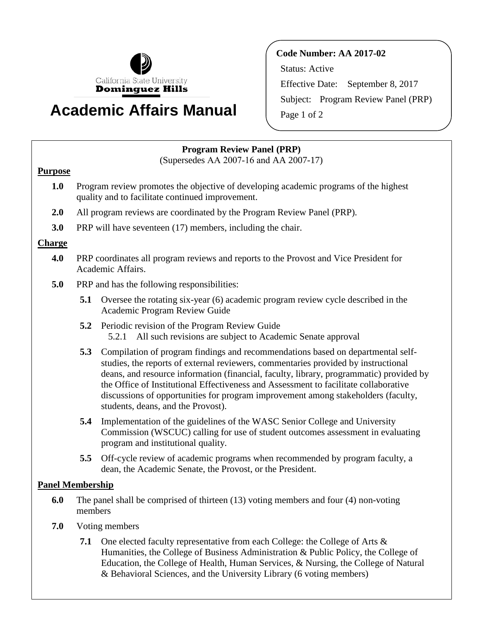

# **Academic Affairs Manual**

**Code Number: AA 2017-02**  Status: Active Effective Date: September 8, 2017 Subject: Program Review Panel (PRP) Page 1 of 2

## **Program Review Panel (PRP)**

(Supersedes AA 2007-16 and AA 2007-17)

### **Purpose**

- **1.0** Program review promotes the objective of developing academic programs of the highest quality and to facilitate continued improvement.
- **2.0** All program reviews are coordinated by the Program Review Panel (PRP).
- **3.0** PRP will have seventeen (17) members, including the chair.

### **Charge**

- **4.0** PRP coordinates all program reviews and reports to the Provost and Vice President for Academic Affairs.
- **5.0** PRP and has the following responsibilities:
	- **5.1** Oversee the rotating six-year (6) academic program review cycle described in the Academic Program Review Guide
	- **5.2** Periodic revision of the Program Review Guide 5.2.1 All such revisions are subject to Academic Senate approval
	- **5.3** Compilation of program findings and recommendations based on departmental selfstudies, the reports of external reviewers, commentaries provided by instructional deans, and resource information (financial, faculty, library, programmatic) provided by the Office of Institutional Effectiveness and Assessment to facilitate collaborative discussions of opportunities for program improvement among stakeholders (faculty, students, deans, and the Provost).
	- **5.4** Implementation of the guidelines of the WASC Senior College and University Commission (WSCUC) calling for use of student outcomes assessment in evaluating program and institutional quality.
	- **5.5** Off-cycle review of academic programs when recommended by program faculty, a dean, the Academic Senate, the Provost, or the President.

### **Panel Membership**

- **6.0** The panel shall be comprised of thirteen (13) voting members and four (4) non-voting members
- **7.0** Voting members
	- **7.1** One elected faculty representative from each College: the College of Arts & Humanities, the College of Business Administration & Public Policy, the College of Education, the College of Health, Human Services, & Nursing, the College of Natural & Behavioral Sciences, and the University Library (6 voting members)